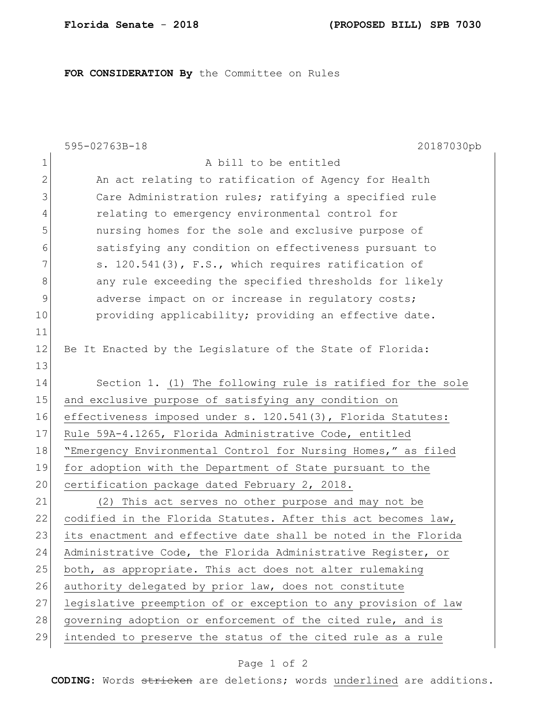## **FOR CONSIDERATION By** the Committee on Rules

|              | 595-02763B-18<br>20187030pb                                    |
|--------------|----------------------------------------------------------------|
| $\mathbf{1}$ | A bill to be entitled                                          |
| $\mathbf{2}$ | An act relating to ratification of Agency for Health           |
| 3            | Care Administration rules; ratifying a specified rule          |
| 4            | relating to emergency environmental control for                |
| 5            | nursing homes for the sole and exclusive purpose of            |
| 6            | satisfying any condition on effectiveness pursuant to          |
| 7            | s. 120.541(3), F.S., which requires ratification of            |
| 8            | any rule exceeding the specified thresholds for likely         |
| $\mathsf 9$  | adverse impact on or increase in regulatory costs;             |
| 10           | providing applicability; providing an effective date.          |
| 11           |                                                                |
| 12           | Be It Enacted by the Legislature of the State of Florida:      |
| 13           |                                                                |
| 14           | Section 1. (1) The following rule is ratified for the sole     |
| 15           | and exclusive purpose of satisfying any condition on           |
| 16           | effectiveness imposed under s. 120.541(3), Florida Statutes:   |
| 17           | Rule 59A-4.1265, Florida Administrative Code, entitled         |
| 18           | "Emergency Environmental Control for Nursing Homes," as filed  |
| 19           | for adoption with the Department of State pursuant to the      |
| 20           | certification package dated February 2, 2018.                  |
| 21           | (2) This act serves no other purpose and may not be            |
| 22           | codified in the Florida Statutes. After this act becomes law,  |
| 23           | its enactment and effective date shall be noted in the Florida |
| 24           | Administrative Code, the Florida Administrative Register, or   |
| 25           | both, as appropriate. This act does not alter rulemaking       |
| 26           | authority delegated by prior law, does not constitute          |
| 27           | legislative preemption of or exception to any provision of law |
| 28           | governing adoption or enforcement of the cited rule, and is    |
| 29           | intended to preserve the status of the cited rule as a rule    |

## Page 1 of 2

**CODING**: Words stricken are deletions; words underlined are additions.